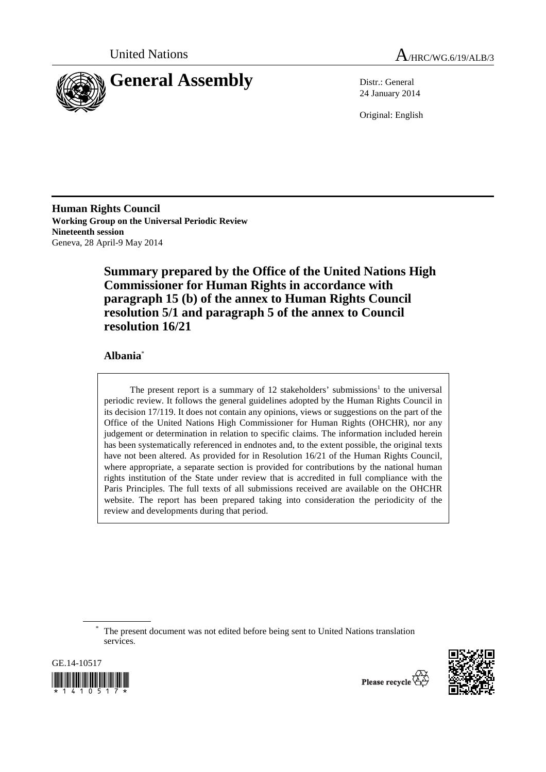



24 January 2014

Original: English

**Human Rights Council Working Group on the Universal Periodic Review Nineteenth session**  Geneva, 28 April-9 May 2014

> **Summary prepared by the Office of the United Nations High Commissioner for Human Rights in accordance with paragraph 15 (b) of the annex to Human Rights Council resolution 5/1 and paragraph 5 of the annex to Council resolution 16/21**

## **Albania**\*

The present report is a summary of 12 stakeholders' submissions<sup>1</sup> to the universal periodic review. It follows the general guidelines adopted by the Human Rights Council in its decision 17/119. It does not contain any opinions, views or suggestions on the part of the Office of the United Nations High Commissioner for Human Rights (OHCHR), nor any judgement or determination in relation to specific claims. The information included herein has been systematically referenced in endnotes and, to the extent possible, the original texts have not been altered. As provided for in Resolution 16/21 of the Human Rights Council, where appropriate, a separate section is provided for contributions by the national human rights institution of the State under review that is accredited in full compliance with the Paris Principles. The full texts of all submissions received are available on the OHCHR website. The report has been prepared taking into consideration the periodicity of the review and developments during that period.

\* The present document was not edited before being sent to United Nations translation services.





Please recycle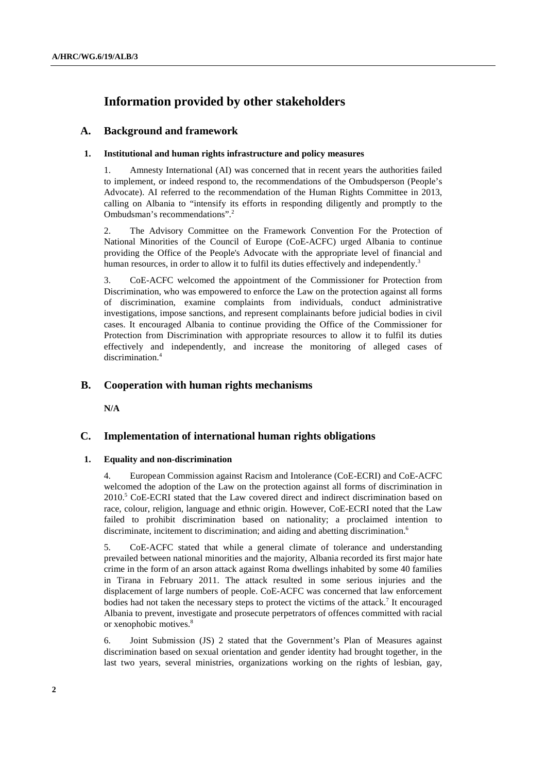# **Information provided by other stakeholders**

### **A. Background and framework**

#### **1. Institutional and human rights infrastructure and policy measures**

1. Amnesty International (AI) was concerned that in recent years the authorities failed to implement, or indeed respond to, the recommendations of the Ombudsperson (People's Advocate). AI referred to the recommendation of the Human Rights Committee in 2013, calling on Albania to "intensify its efforts in responding diligently and promptly to the Ombudsman's recommendations".2

2. The Advisory Committee on the Framework Convention For the Protection of National Minorities of the Council of Europe (CoE-ACFC) urged Albania to continue providing the Office of the People's Advocate with the appropriate level of financial and human resources, in order to allow it to fulfil its duties effectively and independently.<sup>3</sup>

3. CoE-ACFC welcomed the appointment of the Commissioner for Protection from Discrimination, who was empowered to enforce the Law on the protection against all forms of discrimination, examine complaints from individuals, conduct administrative investigations, impose sanctions, and represent complainants before judicial bodies in civil cases. It encouraged Albania to continue providing the Office of the Commissioner for Protection from Discrimination with appropriate resources to allow it to fulfil its duties effectively and independently, and increase the monitoring of alleged cases of discrimination.<sup>4</sup>

### **B. Cooperation with human rights mechanisms**

 **N/A** 

### **C. Implementation of international human rights obligations**

#### **1. Equality and non-discrimination**

4. European Commission against Racism and Intolerance (CoE-ECRI) and CoE-ACFC welcomed the adoption of the Law on the protection against all forms of discrimination in 2010.<sup>5</sup> CoE-ECRI stated that the Law covered direct and indirect discrimination based on race, colour, religion, language and ethnic origin. However, CoE-ECRI noted that the Law failed to prohibit discrimination based on nationality; a proclaimed intention to discriminate, incitement to discrimination; and aiding and abetting discrimination.<sup>6</sup>

5. CoE-ACFC stated that while a general climate of tolerance and understanding prevailed between national minorities and the majority, Albania recorded its first major hate crime in the form of an arson attack against Roma dwellings inhabited by some 40 families in Tirana in February 2011. The attack resulted in some serious injuries and the displacement of large numbers of people. CoE-ACFC was concerned that law enforcement bodies had not taken the necessary steps to protect the victims of the attack.<sup>7</sup> It encouraged Albania to prevent, investigate and prosecute perpetrators of offences committed with racial or xenophobic motives.<sup>8</sup>

6. Joint Submission (JS) 2 stated that the Government's Plan of Measures against discrimination based on sexual orientation and gender identity had brought together, in the last two years, several ministries, organizations working on the rights of lesbian, gay,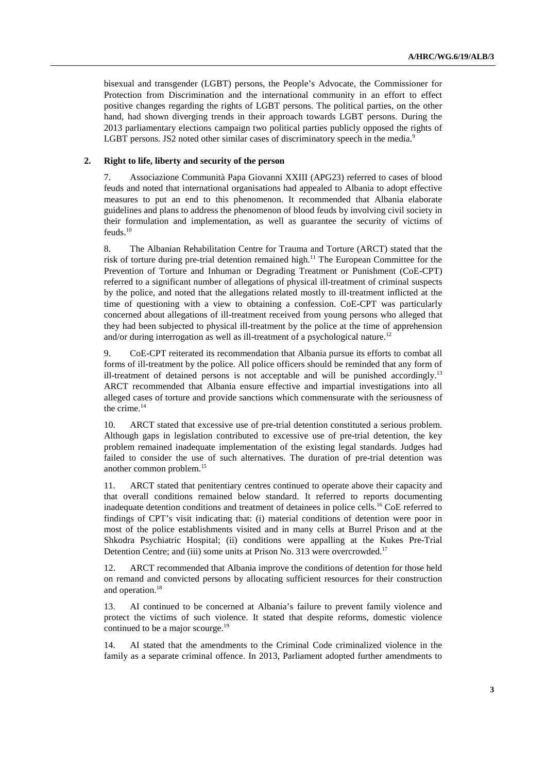bisexual and transgender (LGBT) persons, the People's Advocate, the Commissioner for Protection from Discrimination and the international community in an effort to effect positive changes regarding the rights of LGBT persons. The political parties, on the other hand, had shown diverging trends in their approach towards LGBT persons. During the 2013 parliamentary elections campaign two political parties publicly opposed the rights of LGBT persons. JS2 noted other similar cases of discriminatory speech in the media.<sup>9</sup>

#### **2. Right to life, liberty and security of the person**

7. Associazione Communità Papa Giovanni XXIII (APG23) referred to cases of blood feuds and noted that international organisations had appealed to Albania to adopt effective measures to put an end to this phenomenon. It recommended that Albania elaborate guidelines and plans to address the phenomenon of blood feuds by involving civil society in their formulation and implementation, as well as guarantee the security of victims of  $feuds.<sup>10</sup>$ 

8. The Albanian Rehabilitation Centre for Trauma and Torture (ARCT) stated that the risk of torture during pre-trial detention remained high.<sup>11</sup> The European Committee for the Prevention of Torture and Inhuman or Degrading Treatment or Punishment (CoE-CPT) referred to a significant number of allegations of physical ill-treatment of criminal suspects by the police, and noted that the allegations related mostly to ill-treatment inflicted at the time of questioning with a view to obtaining a confession. CoE-CPT was particularly concerned about allegations of ill-treatment received from young persons who alleged that they had been subjected to physical ill-treatment by the police at the time of apprehension and/or during interrogation as well as ill-treatment of a psychological nature.<sup>12</sup>

9. CoE-CPT reiterated its recommendation that Albania pursue its efforts to combat all forms of ill-treatment by the police. All police officers should be reminded that any form of ill-treatment of detained persons is not acceptable and will be punished accordingly.<sup>13</sup> ARCT recommended that Albania ensure effective and impartial investigations into all alleged cases of torture and provide sanctions which commensurate with the seriousness of the crime.<sup>14</sup>

10. ARCT stated that excessive use of pre-trial detention constituted a serious problem. Although gaps in legislation contributed to excessive use of pre-trial detention, the key problem remained inadequate implementation of the existing legal standards. Judges had failed to consider the use of such alternatives. The duration of pre-trial detention was another common problem.15

11. ARCT stated that penitentiary centres continued to operate above their capacity and that overall conditions remained below standard. It referred to reports documenting inadequate detention conditions and treatment of detainees in police cells.<sup>16</sup> CoE referred to findings of CPT's visit indicating that: (i) material conditions of detention were poor in most of the police establishments visited and in many cells at Burrel Prison and at the Shkodra Psychiatric Hospital; (ii) conditions were appalling at the Kukes Pre-Trial Detention Centre; and (iii) some units at Prison No. 313 were overcrowded.<sup>17</sup>

12. ARCT recommended that Albania improve the conditions of detention for those held on remand and convicted persons by allocating sufficient resources for their construction and operation.<sup>18</sup>

13. AI continued to be concerned at Albania's failure to prevent family violence and protect the victims of such violence. It stated that despite reforms, domestic violence continued to be a major scourge.<sup>19</sup>

14. AI stated that the amendments to the Criminal Code criminalized violence in the family as a separate criminal offence. In 2013, Parliament adopted further amendments to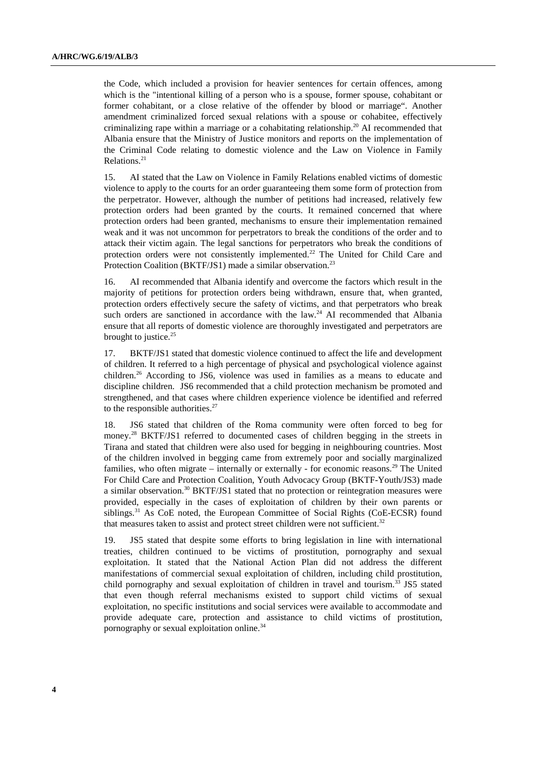the Code, which included a provision for heavier sentences for certain offences, among which is the "intentional killing of a person who is a spouse, former spouse, cohabitant or former cohabitant, or a close relative of the offender by blood or marriage". Another amendment criminalized forced sexual relations with a spouse or cohabitee, effectively criminalizing rape within a marriage or a cohabitating relationship.<sup>20</sup> AI recommended that Albania ensure that the Ministry of Justice monitors and reports on the implementation of the Criminal Code relating to domestic violence and the Law on Violence in Family Relations.<sup>21</sup>

15. AI stated that the Law on Violence in Family Relations enabled victims of domestic violence to apply to the courts for an order guaranteeing them some form of protection from the perpetrator. However, although the number of petitions had increased, relatively few protection orders had been granted by the courts. It remained concerned that where protection orders had been granted, mechanisms to ensure their implementation remained weak and it was not uncommon for perpetrators to break the conditions of the order and to attack their victim again. The legal sanctions for perpetrators who break the conditions of protection orders were not consistently implemented.<sup>22</sup> The United for Child Care and Protection Coalition (BKTF/JS1) made a similar observation.<sup>23</sup>

16. AI recommended that Albania identify and overcome the factors which result in the majority of petitions for protection orders being withdrawn, ensure that, when granted, protection orders effectively secure the safety of victims, and that perpetrators who break such orders are sanctioned in accordance with the law. $^{24}$  AI recommended that Albania ensure that all reports of domestic violence are thoroughly investigated and perpetrators are brought to justice. $25$ 

17. BKTF/JS1 stated that domestic violence continued to affect the life and development of children. It referred to a high percentage of physical and psychological violence against children.26 According to JS6, violence was used in families as a means to educate and discipline children. JS6 recommended that a child protection mechanism be promoted and strengthened, and that cases where children experience violence be identified and referred to the responsible authorities. $27$ 

18. JS6 stated that children of the Roma community were often forced to beg for money.<sup>28</sup> BKTF/JS1 referred to documented cases of children begging in the streets in Tirana and stated that children were also used for begging in neighbouring countries. Most of the children involved in begging came from extremely poor and socially marginalized families, who often migrate – internally or externally - for economic reasons.<sup>29</sup> The United For Child Care and Protection Coalition, Youth Advocacy Group (BKTF-Youth/JS3) made a similar observation.<sup>30</sup> BKTF/JS1 stated that no protection or reintegration measures were provided, especially in the cases of exploitation of children by their own parents or siblings.<sup>31</sup> As CoE noted, the European Committee of Social Rights (CoE-ECSR) found that measures taken to assist and protect street children were not sufficient.<sup>32</sup>

19. JS5 stated that despite some efforts to bring legislation in line with international treaties, children continued to be victims of prostitution, pornography and sexual exploitation. It stated that the National Action Plan did not address the different manifestations of commercial sexual exploitation of children, including child prostitution, child pornography and sexual exploitation of children in travel and tourism.<sup>33</sup> JS5 stated that even though referral mechanisms existed to support child victims of sexual exploitation, no specific institutions and social services were available to accommodate and provide adequate care, protection and assistance to child victims of prostitution, pornography or sexual exploitation online.34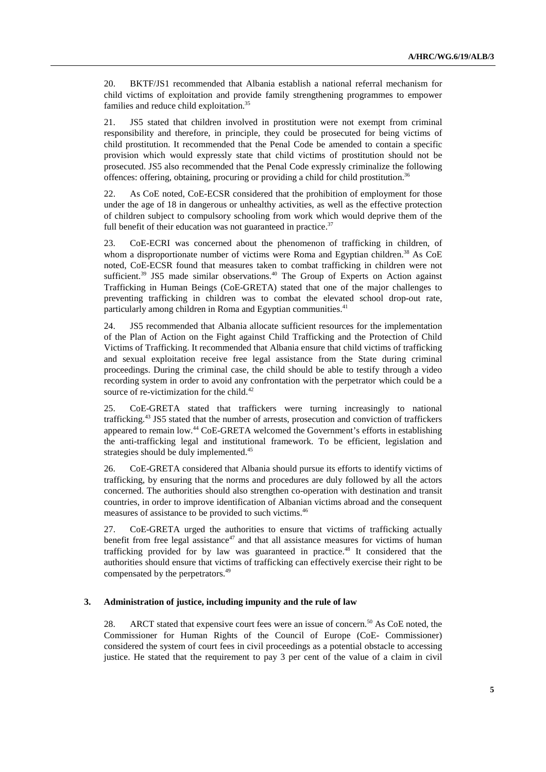20. BKTF/JS1 recommended that Albania establish a national referral mechanism for child victims of exploitation and provide family strengthening programmes to empower families and reduce child exploitation.<sup>35</sup>

21. JS5 stated that children involved in prostitution were not exempt from criminal responsibility and therefore, in principle, they could be prosecuted for being victims of child prostitution. It recommended that the Penal Code be amended to contain a specific provision which would expressly state that child victims of prostitution should not be prosecuted. JS5 also recommended that the Penal Code expressly criminalize the following offences: offering, obtaining, procuring or providing a child for child prostitution.<sup>36</sup>

22. As CoE noted, CoE-ECSR considered that the prohibition of employment for those under the age of 18 in dangerous or unhealthy activities, as well as the effective protection of children subject to compulsory schooling from work which would deprive them of the full benefit of their education was not guaranteed in practice. $37$ 

23. CoE-ECRI was concerned about the phenomenon of trafficking in children, of whom a disproportionate number of victims were Roma and Egyptian children.<sup>38</sup> As  $CoE$ noted, CoE-ECSR found that measures taken to combat trafficking in children were not sufficient.<sup>39</sup> JS5 made similar observations.<sup>40</sup> The Group of Experts on Action against Trafficking in Human Beings (CoE-GRETA) stated that one of the major challenges to preventing trafficking in children was to combat the elevated school drop-out rate, particularly among children in Roma and Egyptian communities.<sup>41</sup>

24. JS5 recommended that Albania allocate sufficient resources for the implementation of the Plan of Action on the Fight against Child Trafficking and the Protection of Child Victims of Trafficking. It recommended that Albania ensure that child victims of trafficking and sexual exploitation receive free legal assistance from the State during criminal proceedings. During the criminal case, the child should be able to testify through a video recording system in order to avoid any confrontation with the perpetrator which could be a source of re-victimization for the child. $42$ 

25. CoE-GRETA stated that traffickers were turning increasingly to national trafficking.43 JS5 stated that the number of arrests, prosecution and conviction of traffickers appeared to remain low.44 CoE-GRETA welcomed the Government's efforts in establishing the anti-trafficking legal and institutional framework. To be efficient, legislation and strategies should be duly implemented.<sup>45</sup>

26. CoE-GRETA considered that Albania should pursue its efforts to identify victims of trafficking, by ensuring that the norms and procedures are duly followed by all the actors concerned. The authorities should also strengthen co-operation with destination and transit countries, in order to improve identification of Albanian victims abroad and the consequent measures of assistance to be provided to such victims.<sup>46</sup>

27. CoE-GRETA urged the authorities to ensure that victims of trafficking actually benefit from free legal assistance $47$  and that all assistance measures for victims of human trafficking provided for by law was guaranteed in practice.<sup>48</sup> It considered that the authorities should ensure that victims of trafficking can effectively exercise their right to be compensated by the perpetrators.<sup>49</sup>

#### **3. Administration of justice, including impunity and the rule of law**

28. ARCT stated that expensive court fees were an issue of concern.<sup>50</sup> As CoE noted, the Commissioner for Human Rights of the Council of Europe (CoE- Commissioner) considered the system of court fees in civil proceedings as a potential obstacle to accessing justice. He stated that the requirement to pay 3 per cent of the value of a claim in civil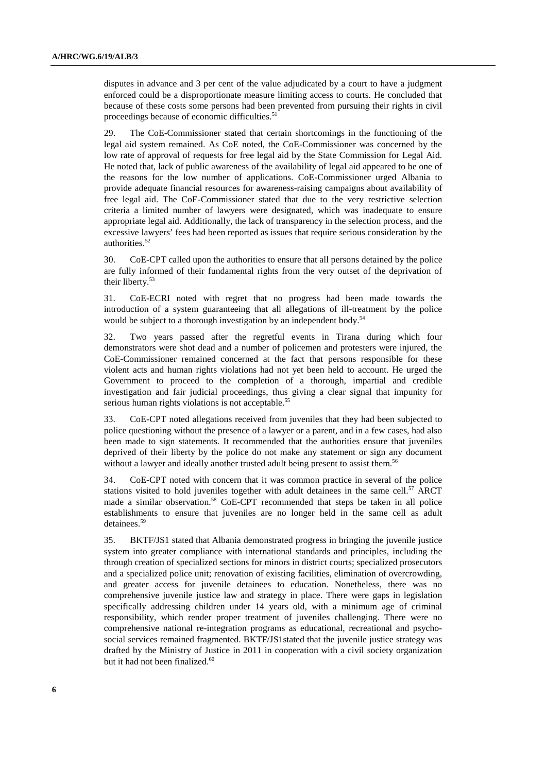disputes in advance and 3 per cent of the value adjudicated by a court to have a judgment enforced could be a disproportionate measure limiting access to courts. He concluded that because of these costs some persons had been prevented from pursuing their rights in civil proceedings because of economic difficulties.<sup>51</sup>

29. The CoE-Commissioner stated that certain shortcomings in the functioning of the legal aid system remained. As CoE noted, the CoE-Commissioner was concerned by the low rate of approval of requests for free legal aid by the State Commission for Legal Aid. He noted that, lack of public awareness of the availability of legal aid appeared to be one of the reasons for the low number of applications. CoE-Commissioner urged Albania to provide adequate financial resources for awareness-raising campaigns about availability of free legal aid. The CoE-Commissioner stated that due to the very restrictive selection criteria a limited number of lawyers were designated, which was inadequate to ensure appropriate legal aid. Additionally, the lack of transparency in the selection process, and the excessive lawyers' fees had been reported as issues that require serious consideration by the authorities.<sup>52</sup>

30. CoE-CPT called upon the authorities to ensure that all persons detained by the police are fully informed of their fundamental rights from the very outset of the deprivation of their liberty.<sup>53</sup>

31. CoE-ECRI noted with regret that no progress had been made towards the introduction of a system guaranteeing that all allegations of ill-treatment by the police would be subject to a thorough investigation by an independent body.<sup>54</sup>

32. Two years passed after the regretful events in Tirana during which four demonstrators were shot dead and a number of policemen and protesters were injured, the CoE-Commissioner remained concerned at the fact that persons responsible for these violent acts and human rights violations had not yet been held to account. He urged the Government to proceed to the completion of a thorough, impartial and credible investigation and fair judicial proceedings, thus giving a clear signal that impunity for serious human rights violations is not acceptable.<sup>55</sup>

33. CoE-CPT noted allegations received from juveniles that they had been subjected to police questioning without the presence of a lawyer or a parent, and in a few cases, had also been made to sign statements. It recommended that the authorities ensure that juveniles deprived of their liberty by the police do not make any statement or sign any document without a lawyer and ideally another trusted adult being present to assist them.<sup>56</sup>

34. CoE-CPT noted with concern that it was common practice in several of the police stations visited to hold juveniles together with adult detainees in the same cell. $57$  ARCT made a similar observation.<sup>58</sup> CoE-CPT recommended that steps be taken in all police establishments to ensure that juveniles are no longer held in the same cell as adult detainees.<sup>59</sup>

35. BKTF/JS1 stated that Albania demonstrated progress in bringing the juvenile justice system into greater compliance with international standards and principles, including the through creation of specialized sections for minors in district courts; specialized prosecutors and a specialized police unit; renovation of existing facilities, elimination of overcrowding, and greater access for juvenile detainees to education. Nonetheless, there was no comprehensive juvenile justice law and strategy in place. There were gaps in legislation specifically addressing children under 14 years old, with a minimum age of criminal responsibility, which render proper treatment of juveniles challenging. There were no comprehensive national re-integration programs as educational, recreational and psychosocial services remained fragmented. BKTF/JS1stated that the juvenile justice strategy was drafted by the Ministry of Justice in 2011 in cooperation with a civil society organization but it had not been finalized.<sup>60</sup>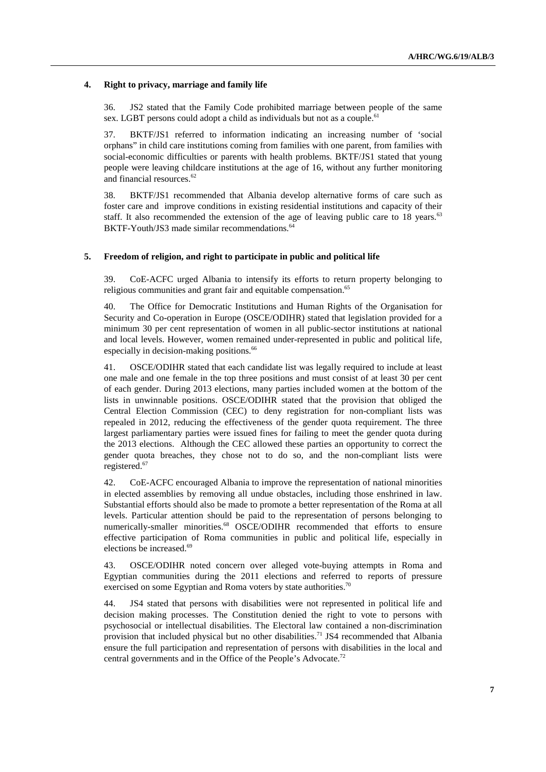#### **4. Right to privacy, marriage and family life**

36. JS2 stated that the Family Code prohibited marriage between people of the same sex. LGBT persons could adopt a child as individuals but not as a couple.<sup>61</sup>

37. BKTF/JS1 referred to information indicating an increasing number of 'social orphans" in child care institutions coming from families with one parent, from families with social-economic difficulties or parents with health problems. BKTF/JS1 stated that young people were leaving childcare institutions at the age of 16, without any further monitoring and financial resources.<sup>62</sup>

38. BKTF/JS1 recommended that Albania develop alternative forms of care such as foster care and improve conditions in existing residential institutions and capacity of their staff. It also recommended the extension of the age of leaving public care to 18 years.<sup>63</sup> BKTF-Youth/JS3 made similar recommendations.<sup>64</sup>

#### **5. Freedom of religion, and right to participate in public and political life**

39. CoE-ACFC urged Albania to intensify its efforts to return property belonging to religious communities and grant fair and equitable compensation.<sup>65</sup>

40. The Office for Democratic Institutions and Human Rights of the Organisation for Security and Co-operation in Europe (OSCE/ODIHR) stated that legislation provided for a minimum 30 per cent representation of women in all public-sector institutions at national and local levels. However, women remained under-represented in public and political life, especially in decision-making positions.<sup>66</sup>

41. OSCE/ODIHR stated that each candidate list was legally required to include at least one male and one female in the top three positions and must consist of at least 30 per cent of each gender. During 2013 elections, many parties included women at the bottom of the lists in unwinnable positions. OSCE/ODIHR stated that the provision that obliged the Central Election Commission (CEC) to deny registration for non-compliant lists was repealed in 2012, reducing the effectiveness of the gender quota requirement. The three largest parliamentary parties were issued fines for failing to meet the gender quota during the 2013 elections. Although the CEC allowed these parties an opportunity to correct the gender quota breaches, they chose not to do so, and the non-compliant lists were registered.<sup>67</sup>

42. CoE-ACFC encouraged Albania to improve the representation of national minorities in elected assemblies by removing all undue obstacles, including those enshrined in law. Substantial efforts should also be made to promote a better representation of the Roma at all levels. Particular attention should be paid to the representation of persons belonging to numerically-smaller minorities.<sup>68</sup> OSCE/ODIHR recommended that efforts to ensure effective participation of Roma communities in public and political life, especially in elections be increased.69

43. OSCE/ODIHR noted concern over alleged vote-buying attempts in Roma and Egyptian communities during the 2011 elections and referred to reports of pressure exercised on some Egyptian and Roma voters by state authorities.<sup>70</sup>

44. JS4 stated that persons with disabilities were not represented in political life and decision making processes. The Constitution denied the right to vote to persons with psychosocial or intellectual disabilities. The Electoral law contained a non-discrimination provision that included physical but no other disabilities.<sup>71</sup> JS4 recommended that Albania ensure the full participation and representation of persons with disabilities in the local and central governments and in the Office of the People's Advocate.72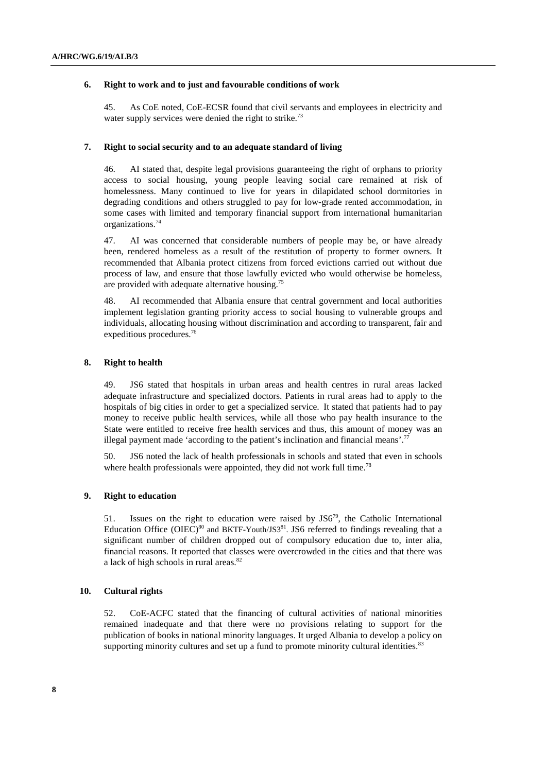#### **6. Right to work and to just and favourable conditions of work**

45. As CoE noted, CoE-ECSR found that civil servants and employees in electricity and water supply services were denied the right to strike.<sup>73</sup>

#### **7. Right to social security and to an adequate standard of living**

46. AI stated that, despite legal provisions guaranteeing the right of orphans to priority access to social housing, young people leaving social care remained at risk of homelessness. Many continued to live for years in dilapidated school dormitories in degrading conditions and others struggled to pay for low-grade rented accommodation, in some cases with limited and temporary financial support from international humanitarian organizations.74

47. AI was concerned that considerable numbers of people may be, or have already been, rendered homeless as a result of the restitution of property to former owners. It recommended that Albania protect citizens from forced evictions carried out without due process of law, and ensure that those lawfully evicted who would otherwise be homeless, are provided with adequate alternative housing.75

48. AI recommended that Albania ensure that central government and local authorities implement legislation granting priority access to social housing to vulnerable groups and individuals, allocating housing without discrimination and according to transparent, fair and expeditious procedures.76

#### **8. Right to health**

49. JS6 stated that hospitals in urban areas and health centres in rural areas lacked adequate infrastructure and specialized doctors. Patients in rural areas had to apply to the hospitals of big cities in order to get a specialized service. It stated that patients had to pay money to receive public health services, while all those who pay health insurance to the State were entitled to receive free health services and thus, this amount of money was an illegal payment made 'according to the patient's inclination and financial means'.<sup>77</sup>

50. JS6 noted the lack of health professionals in schools and stated that even in schools where health professionals were appointed, they did not work full time.<sup>78</sup>

#### **9. Right to education**

51. Issues on the right to education were raised by  $JSS<sup>79</sup>$ , the Catholic International Education Office  $(OIEC)^{80}$  and BKTF-Youth/JS3<sup>81</sup>. JS6 referred to findings revealing that a significant number of children dropped out of compulsory education due to, inter alia, financial reasons. It reported that classes were overcrowded in the cities and that there was a lack of high schools in rural areas.<sup>82</sup>

#### **10. Cultural rights**

52. CoE-ACFC stated that the financing of cultural activities of national minorities remained inadequate and that there were no provisions relating to support for the publication of books in national minority languages. It urged Albania to develop a policy on supporting minority cultures and set up a fund to promote minority cultural identities.<sup>83</sup>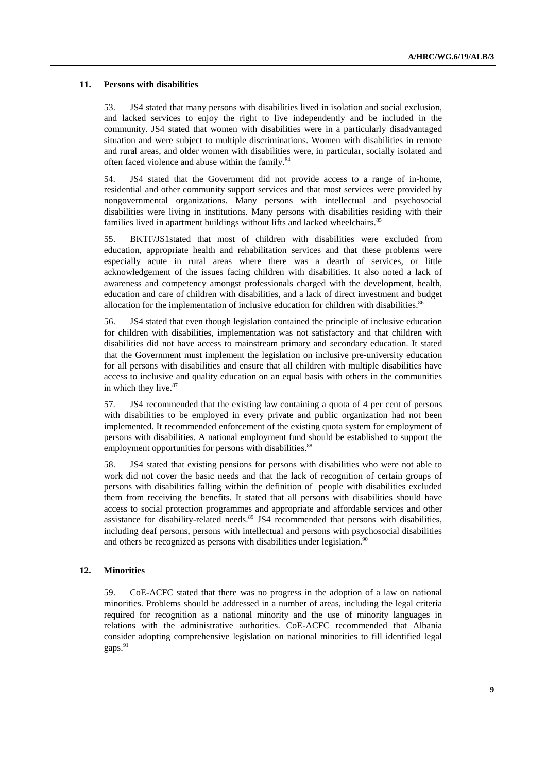#### **11. Persons with disabilities**

53. JS4 stated that many persons with disabilities lived in isolation and social exclusion, and lacked services to enjoy the right to live independently and be included in the community. JS4 stated that women with disabilities were in a particularly disadvantaged situation and were subject to multiple discriminations. Women with disabilities in remote and rural areas, and older women with disabilities were, in particular, socially isolated and often faced violence and abuse within the family.<sup>84</sup>

54. JS4 stated that the Government did not provide access to a range of in-home, residential and other community support services and that most services were provided by nongovernmental organizations. Many persons with intellectual and psychosocial disabilities were living in institutions. Many persons with disabilities residing with their families lived in apartment buildings without lifts and lacked wheelchairs.<sup>85</sup>

55. BKTF/JS1stated that most of children with disabilities were excluded from education, appropriate health and rehabilitation services and that these problems were especially acute in rural areas where there was a dearth of services, or little acknowledgement of the issues facing children with disabilities. It also noted a lack of awareness and competency amongst professionals charged with the development, health, education and care of children with disabilities, and a lack of direct investment and budget allocation for the implementation of inclusive education for children with disabilities.<sup>86</sup>

56. JS4 stated that even though legislation contained the principle of inclusive education for children with disabilities, implementation was not satisfactory and that children with disabilities did not have access to mainstream primary and secondary education. It stated that the Government must implement the legislation on inclusive pre-university education for all persons with disabilities and ensure that all children with multiple disabilities have access to inclusive and quality education on an equal basis with others in the communities in which they live.<sup>87</sup>

57. JS4 recommended that the existing law containing a quota of 4 per cent of persons with disabilities to be employed in every private and public organization had not been implemented. It recommended enforcement of the existing quota system for employment of persons with disabilities. A national employment fund should be established to support the employment opportunities for persons with disabilities.<sup>88</sup>

58. JS4 stated that existing pensions for persons with disabilities who were not able to work did not cover the basic needs and that the lack of recognition of certain groups of persons with disabilities falling within the definition of people with disabilities excluded them from receiving the benefits. It stated that all persons with disabilities should have access to social protection programmes and appropriate and affordable services and other assistance for disability-related needs.<sup>89</sup> JS4 recommended that persons with disabilities, including deaf persons, persons with intellectual and persons with psychosocial disabilities and others be recognized as persons with disabilities under legislation.<sup>90</sup>

#### **12. Minorities**

59. CoE**-**ACFC stated that there was no progress in the adoption of a law on national minorities. Problems should be addressed in a number of areas, including the legal criteria required for recognition as a national minority and the use of minority languages in relations with the administrative authorities. CoE-ACFC recommended that Albania consider adopting comprehensive legislation on national minorities to fill identified legal gaps.<sup>91</sup>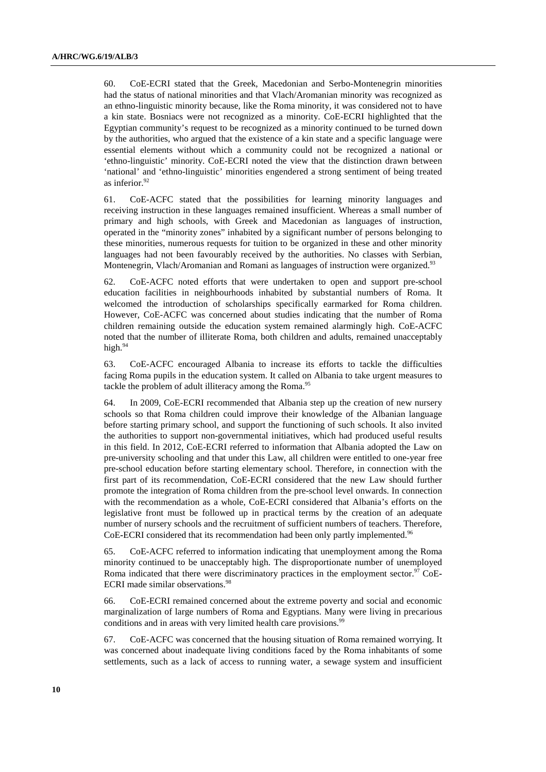60. CoE-ECRI stated that the Greek, Macedonian and Serbo-Montenegrin minorities had the status of national minorities and that Vlach/Aromanian minority was recognized as an ethno-linguistic minority because, like the Roma minority, it was considered not to have a kin state. Bosniacs were not recognized as a minority. CoE-ECRI highlighted that the Egyptian community's request to be recognized as a minority continued to be turned down by the authorities, who argued that the existence of a kin state and a specific language were essential elements without which a community could not be recognized a national or 'ethno-linguistic' minority. CoE-ECRI noted the view that the distinction drawn between 'national' and 'ethno-linguistic' minorities engendered a strong sentiment of being treated as inferior.92

61. CoE-ACFC stated that the possibilities for learning minority languages and receiving instruction in these languages remained insufficient. Whereas a small number of primary and high schools, with Greek and Macedonian as languages of instruction, operated in the "minority zones" inhabited by a significant number of persons belonging to these minorities, numerous requests for tuition to be organized in these and other minority languages had not been favourably received by the authorities. No classes with Serbian, Montenegrin, Vlach/Aromanian and Romani as languages of instruction were organized.<sup>93</sup>

62. CoE-ACFC noted efforts that were undertaken to open and support pre-school education facilities in neighbourhoods inhabited by substantial numbers of Roma. It welcomed the introduction of scholarships specifically earmarked for Roma children. However, CoE-ACFC was concerned about studies indicating that the number of Roma children remaining outside the education system remained alarmingly high. CoE-ACFC noted that the number of illiterate Roma, both children and adults, remained unacceptably high.<sup>94</sup>

63. CoE-ACFC encouraged Albania to increase its efforts to tackle the difficulties facing Roma pupils in the education system. It called on Albania to take urgent measures to tackle the problem of adult illiteracy among the Roma.<sup>95</sup>

64. In 2009, CoE-ECRI recommended that Albania step up the creation of new nursery schools so that Roma children could improve their knowledge of the Albanian language before starting primary school, and support the functioning of such schools. It also invited the authorities to support non-governmental initiatives, which had produced useful results in this field. In 2012, CoE-ECRI referred to information that Albania adopted the Law on pre-university schooling and that under this Law, all children were entitled to one-year free pre-school education before starting elementary school. Therefore, in connection with the first part of its recommendation, CoE-ECRI considered that the new Law should further promote the integration of Roma children from the pre-school level onwards. In connection with the recommendation as a whole, CoE-ECRI considered that Albania's efforts on the legislative front must be followed up in practical terms by the creation of an adequate number of nursery schools and the recruitment of sufficient numbers of teachers. Therefore, CoE-ECRI considered that its recommendation had been only partly implemented.<sup>96</sup>

65. CoE-ACFC referred to information indicating that unemployment among the Roma minority continued to be unacceptably high. The disproportionate number of unemployed Roma indicated that there were discriminatory practices in the employment sector.<sup>97</sup> CoE-ECRI made similar observations.<sup>98</sup>

66. CoE-ECRI remained concerned about the extreme poverty and social and economic marginalization of large numbers of Roma and Egyptians. Many were living in precarious conditions and in areas with very limited health care provisions.<sup>9</sup>

67. CoE-ACFC was concerned that the housing situation of Roma remained worrying. It was concerned about inadequate living conditions faced by the Roma inhabitants of some settlements, such as a lack of access to running water, a sewage system and insufficient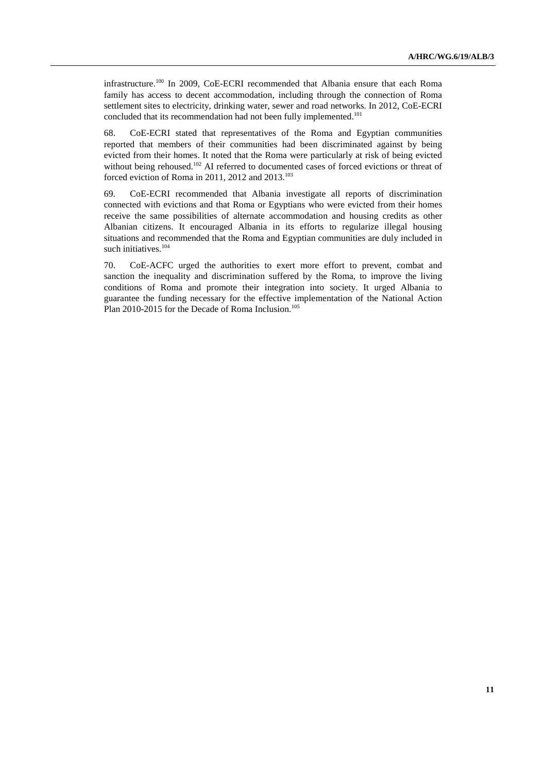infrastructure.100 In 2009, CoE-ECRI recommended that Albania ensure that each Roma family has access to decent accommodation, including through the connection of Roma settlement sites to electricity, drinking water, sewer and road networks. In 2012, CoE-ECRI concluded that its recommendation had not been fully implemented.<sup>101</sup>

68. CoE-ECRI stated that representatives of the Roma and Egyptian communities reported that members of their communities had been discriminated against by being evicted from their homes. It noted that the Roma were particularly at risk of being evicted without being rehoused.<sup>102</sup> AI referred to documented cases of forced evictions or threat of forced eviction of Roma in 2011, 2012 and  $2013$ <sup>103</sup>

69. CoE-ECRI recommended that Albania investigate all reports of discrimination connected with evictions and that Roma or Egyptians who were evicted from their homes receive the same possibilities of alternate accommodation and housing credits as other Albanian citizens. It encouraged Albania in its efforts to regularize illegal housing situations and recommended that the Roma and Egyptian communities are duly included in such initiatives.<sup>104</sup>

70. CoE-ACFC urged the authorities to exert more effort to prevent, combat and sanction the inequality and discrimination suffered by the Roma, to improve the living conditions of Roma and promote their integration into society. It urged Albania to guarantee the funding necessary for the effective implementation of the National Action Plan 2010-2015 for the Decade of Roma Inclusion.<sup>105</sup>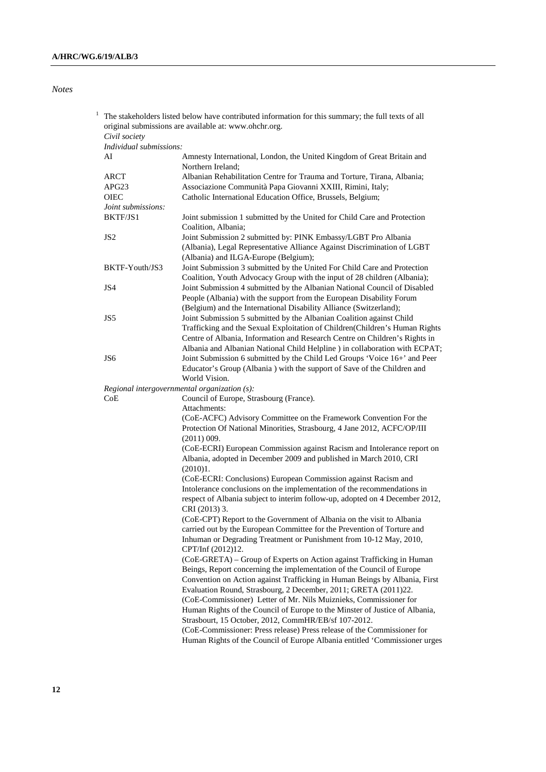### *Notes*

|  | Civil society                                | original submissions are available at: www.ohchr.org.                                                                                                                                                                             |
|--|----------------------------------------------|-----------------------------------------------------------------------------------------------------------------------------------------------------------------------------------------------------------------------------------|
|  | Individual submissions:                      |                                                                                                                                                                                                                                   |
|  | AI                                           | Amnesty International, London, the United Kingdom of Great Britain and<br>Northern Ireland;                                                                                                                                       |
|  | ARCT                                         | Albanian Rehabilitation Centre for Trauma and Torture, Tirana, Albania;                                                                                                                                                           |
|  | APG23                                        | Associazione Communità Papa Giovanni XXIII, Rimini, Italy;                                                                                                                                                                        |
|  | <b>OIEC</b>                                  | Catholic International Education Office, Brussels, Belgium;                                                                                                                                                                       |
|  | Joint submissions:                           |                                                                                                                                                                                                                                   |
|  | BKTF/JS1                                     | Joint submission 1 submitted by the United for Child Care and Protection<br>Coalition, Albania;                                                                                                                                   |
|  | JS <sub>2</sub>                              | Joint Submission 2 submitted by: PINK Embassy/LGBT Pro Albania                                                                                                                                                                    |
|  |                                              | (Albania), Legal Representative Alliance Against Discrimination of LGBT                                                                                                                                                           |
|  |                                              | (Albania) and ILGA-Europe (Belgium);                                                                                                                                                                                              |
|  | BKTF-Youth/JS3                               | Joint Submission 3 submitted by the United For Child Care and Protection<br>Coalition, Youth Advocacy Group with the input of 28 children (Albania);                                                                              |
|  | JS4                                          | Joint Submission 4 submitted by the Albanian National Council of Disabled<br>People (Albania) with the support from the European Disability Forum<br>(Belgium) and the International Disability Alliance (Switzerland);           |
|  | JS5                                          | Joint Submission 5 submitted by the Albanian Coalition against Child<br>Trafficking and the Sexual Exploitation of Children(Children's Human Rights<br>Centre of Albania, Information and Research Centre on Children's Rights in |
|  |                                              | Albania and Albanian National Child Helpline ) in collaboration with ECPAT;                                                                                                                                                       |
|  | JS <sub>6</sub>                              | Joint Submission 6 submitted by the Child Led Groups 'Voice 16+' and Peer<br>Educator's Group (Albania) with the support of Save of the Children and<br>World Vision.                                                             |
|  | Regional intergovernmental organization (s): |                                                                                                                                                                                                                                   |
|  | CoE                                          | Council of Europe, Strasbourg (France).<br>Attachments:                                                                                                                                                                           |
|  |                                              | (CoE-ACFC) Advisory Committee on the Framework Convention For the<br>Protection Of National Minorities, Strasbourg, 4 Jane 2012, ACFC/OP/III<br>(2011) 009.                                                                       |
|  |                                              | (CoE-ECRI) European Commission against Racism and Intolerance report on<br>Albania, adopted in December 2009 and published in March 2010, CRI<br>(2010)1.                                                                         |
|  |                                              | (CoE-ECRI: Conclusions) European Commission against Racism and                                                                                                                                                                    |
|  |                                              | Intolerance conclusions on the implementation of the recommendations in                                                                                                                                                           |
|  |                                              | respect of Albania subject to interim follow-up, adopted on 4 December 2012,<br>CRI (2013) 3.                                                                                                                                     |
|  |                                              | (CoE-CPT) Report to the Government of Albania on the visit to Albania                                                                                                                                                             |
|  |                                              | carried out by the European Committee for the Prevention of Torture and                                                                                                                                                           |
|  |                                              | Inhuman or Degrading Treatment or Punishment from 10-12 May, 2010,<br>CPT/Inf (2012)12.                                                                                                                                           |
|  |                                              | (CoE-GRETA) – Group of Experts on Action against Trafficking in Human<br>Beings, Report concerning the implementation of the Council of Europe                                                                                    |
|  |                                              | Convention on Action against Trafficking in Human Beings by Albania, First<br>Evaluation Round, Strasbourg, 2 December, 2011; GRETA (2011)22.                                                                                     |
|  |                                              | (CoE-Commissioner) Letter of Mr. Nils Muiznieks, Commissioner for<br>Human Rights of the Council of Europe to the Minster of Justice of Albania,                                                                                  |
|  |                                              | Strasbourt, 15 October, 2012, CommHR/EB/sf 107-2012.                                                                                                                                                                              |
|  |                                              | (CoE-Commissioner: Press release) Press release of the Commissioner for<br>Human Rights of the Council of Europe Albania entitled 'Commissioner urges                                                                             |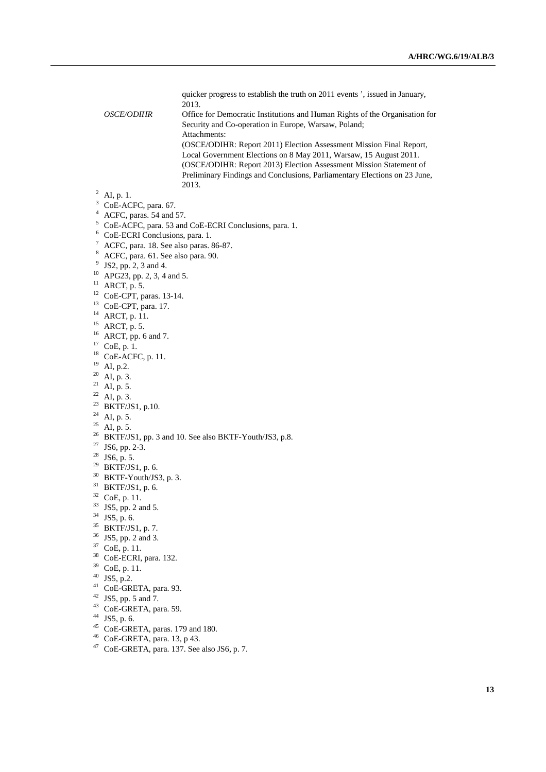quicker progress to establish the truth on 2011 events ', issued in January, 2013.

 *OSCE/ODIHR* Office for Democratic Institutions and Human Rights of the Organisation for Security and Co-operation in Europe, Warsaw, Poland; Attachments: (OSCE/ODIHR: Report 2011) Election Assessment Mission Final Report, Local Government Elections on 8 May 2011, Warsaw, 15 August 2011. (OSCE/ODIHR: Report 2013) Election Assessment Mission Statement of Preliminary Findings and Conclusions, Parliamentary Elections on 23 June,

<sup>3</sup> CoE-ACFC, para. 67.

<sup>4</sup> ACFC, paras. 54 and 57.

- <sup>5</sup> CoE-ACFC, para. 53 and CoE-ECRI Conclusions, para. 1.
- 6 CoE-ECRI Conclusions, para. 1.
- $7$  ACFC, para. 18. See also paras. 86-87.
- 8 ACFC, para. 61. See also para. 90.
- <sup>9</sup> JS2, pp. 2, 3 and 4.
- $10$  APG23, pp. 2, 3, 4 and 5.
- $11$  ARCT, p. 5.
- 12 CoE-CPT, paras. 13-14.
- 13 CoE-CPT, para. 17.
- 14 ARCT, p. 11.
- $15$  ARCT, p. 5.
- $16$  ARCT, pp. 6 and 7.
- $^{17}\,$  CoE, p. 1.
- 18 CoE-ACFC, p. 11.
- <sup>19</sup> AI, p.2.
- $20$  AI, p. 3.
- $^{21}$  AI, p. 5.
- <sup>22</sup> AI, p. 3.
- <sup>23</sup> BKTF/JS1, p.10.
- $24$  AI, p. 5.
- <sup>25</sup> AI, p. 5.
- <sup>26</sup> BKTF/JS1, pp. 3 and 10. See also BKTF-Youth/JS3, p.8.
- 27 JS6, pp. 2-3.
- $28$  JS6, p. 5.
- $29$  BKTF/JS1, p. 6.
- 30 BKTF-Youth/JS3, p. 3.
- 31 BKTF/JS1, p. 6.
- 32 CoE, p. 11.
- <sup>33</sup> JS5, pp. 2 and 5.
- $34$  JS5, p. 6.
- 
- 35 BKTF/JS1, p. 7. 36 JS5, pp. 2 and 3.
- 37 CoE, p. 11.
- 38 CoE-ECRI, para. 132.
- 
- 39 CoE, p. 11.
- $40$  JS5, p.2.
- 41 CoE-GRETA, para. 93.
- 42 JS5, pp. 5 and 7.
- 43 CoE-GRETA, para. 59.
- 44 JS5, p. 6.
- $45$  CoE-GRETA, paras. 179 and 180.
- 46 CoE-GRETA, para. 13, p 43.
- 47 CoE-GRETA, para. 137. See also JS6, p. 7.

<sup>&</sup>lt;sup>2</sup> AI, p. 1. <sup>2013.</sup>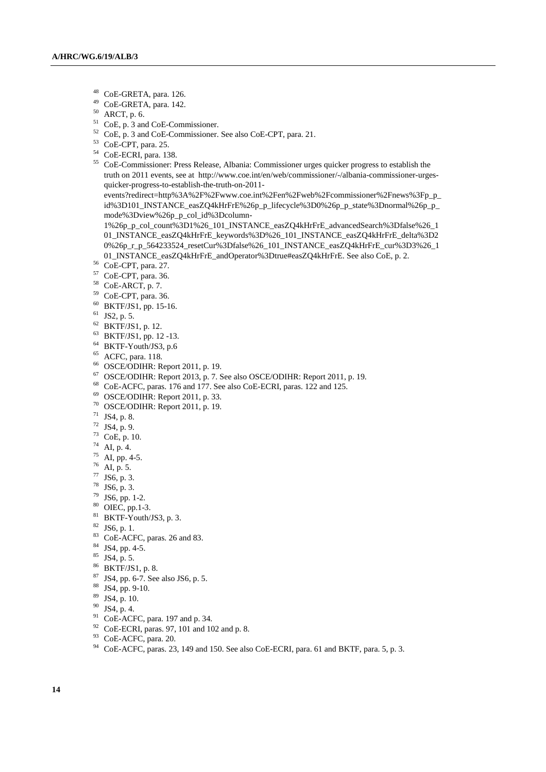- $^{48}$  CoE-GRETA, para. 126.
- $^{49}$  CoE-GRETA, para. 142.
- ARCT, p. 6.
- 51 CoE, p. 3 and CoE-Commissioner.
- 52 CoE, p. 3 and CoE-Commissioner. See also CoE-CPT, para. 21.
- 53 CoE-CPT, para. 25.
- 54 CoE-ECRI, para. 138.
- 55 CoE-Commissioner: Press Release, Albania: Commissioner urges quicker progress to establish the truth on 2011 events, see at http://www.coe.int/en/web/commissioner/-/albania-commissioner-urgesquicker-progress-to-establish-the-truth-on-2011-

events?redirect=http%3A%2F%2Fwww.coe.int%2Fen%2Fweb%2Fcommissioner%2Fnews%3Fp\_p\_ id%3D101\_INSTANCE\_easZQ4kHrFrE%26p\_p\_lifecycle%3D0%26p\_p\_state%3Dnormal%26p\_p\_ mode%3Dview%26p\_p\_col\_id%3Dcolumn-

1%26p\_p\_col\_count%3D1%26\_101\_INSTANCE\_easZQ4kHrFrE\_advancedSearch%3Dfalse%26\_1 01\_INSTANCE\_easZQ4kHrFrE\_keywords%3D%26\_101\_INSTANCE\_easZQ4kHrFrE\_delta%3D2 0%26p\_r\_p\_564233524\_resetCur%3Dfalse%26\_101\_INSTANCE\_easZQ4kHrFrE\_cur%3D3%26\_1 01\_INSTANCE\_easZQ4kHrFrE\_andOperator%3Dtrue#easZQ4kHrFrE. See also CoE, p. 2.<br><sup>56</sup> CoE-CPT, para. 27.

- 
- 57 CoE-CPT, para. 36.
- 58 CoE-ARCT, p. 7.
- 59 CoE-CPT, para. 36.
- 60 BKTF/JS1, pp. 15-16.
- $61$  JS2, p. 5.
- 62 BKTF/JS1, p. 12.
- 63 BKTF/JS1, pp. 12 -13.
- 64 BKTF-Youth/JS3, p.6
- 65 ACFC, para. 118.
- 66 OSCE/ODIHR: Report 2011, p. 19.
- $67$  OSCE/ODIHR: Report 2013, p. 7. See also OSCE/ODIHR: Report 2011, p. 19.
- 68 CoE-ACFC, paras. 176 and 177. See also CoE-ECRI, paras. 122 and 125.
- $69$  OSCE/ODIHR: Report 2011, p. 33.
- 70 OSCE/ODIHR: Report 2011, p. 19.
- $71$  JS4, p. 8.
- $72$  JS4, p. 9.
- 73 CoE, p. 10.
- 74 AI, p. 4.
- $75$  AI, pp. 4-5.
- 76 AI, p. 5.
- 77 JS6, p. 3.
- 78 JS6, p. 3.
- 79 JS6, pp. 1-2.
- 80 OIEC, pp.1-3.
- $81$  BKTF-Youth/JS3, p. 3.
- $82$  JS6, p. 1.
- 83 CoE-ACFC, paras. 26 and 83.
- 84 JS4, pp. 4-5.
- 85 JS4, p. 5.
- 86 BKTF/JS1, p. 8.
- 87 JS4, pp. 6-7. See also JS6, p. 5.
- 88 JS4, pp. 9-10.
- 89 JS4, p. 10.
- $90$  JS4, p. 4.
- 91 CoE-ACFC, para. 197 and p. 34.
- 92 CoE-ECRI, paras. 97, 101 and 102 and p. 8.
- 93 CoE-ACFC, para. 20.
- <sup>94</sup> CoE-ACFC, paras. 23, 149 and 150. See also CoE-ECRI, para. 61 and BKTF, para. 5, p. 3.